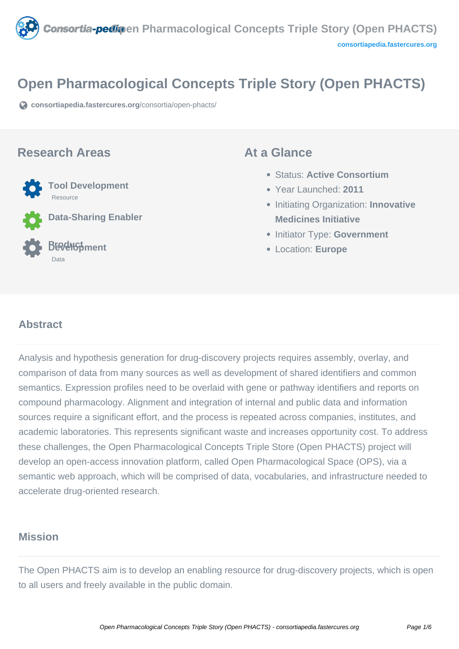<span id="page-0-0"></span>

# **Open Pharmacological Concepts Triple Story (Open PHACTS)**

**[consortiapedia.fastercures.org](https://consortiapedia.fastercures.org/consortia/open-phacts/)**[/consortia/open-phacts/](https://consortiapedia.fastercures.org/consortia/open-phacts/)

#### **Research Areas**



**Data-Sharing Enabler**

#### **Product Development** Data

#### **At a Glance**

- Status: **Active Consortium**
- Year Launched: **2011**
- **Initiating Organization: Innovative Medicines Initiative**
- **Initiator Type: Government**
- Location: **Europe**

#### $\overline{a}$ **Abstract**

Analysis and hypothesis generation for drug-discovery projects requires assembly, overlay, and comparison of data from many sources as well as development of shared identifiers and common semantics. Expression profiles need to be overlaid with gene or pathway identifiers and reports on compound pharmacology. Alignment and integration of internal and public data and information sources require a significant effort, and the process is repeated across companies, institutes, and academic laboratories. This represents significant waste and increases opportunity cost. To address these challenges, the Open Pharmacological Concepts Triple Store (Open PHACTS) project will develop an open-access innovation platform, called Open Pharmacological Space (OPS), via a semantic web approach, which will be comprised of data, vocabularies, and infrastructure needed to accelerate drug-oriented research.

# **Mission**

The Open PHACTS aim is to develop an enabling resource for drug-discovery projects, which is open to all users and freely available in the public domain.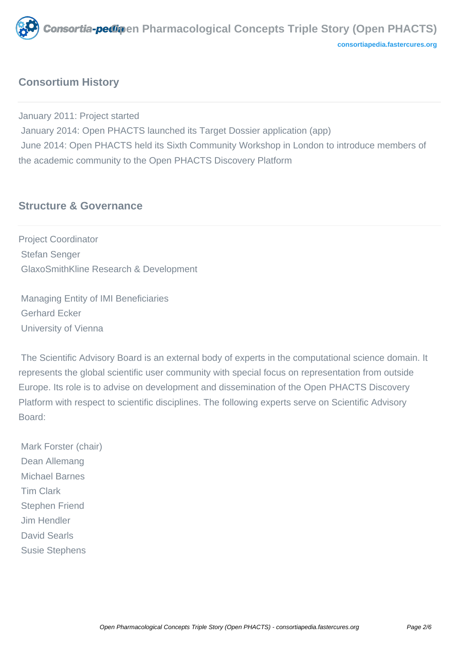

# **Consortium History**

January 2011: Project started January 2014: Open PHACTS launched its Target Dossier application (app) June 2014: Open PHACTS held its Sixth Community Workshop in London to introduce members of the academic community to the Open PHACTS Discovery Platform

## **Structure & Governance**

Project Coordinator Stefan Senger GlaxoSmithKline Research & Development

 Managing Entity of IMI Beneficiaries Gerhard Ecker University of Vienna

 The Scientific Advisory Board is an external body of experts in the computational science domain. It represents the global scientific user community with special focus on representation from outside Europe. Its role is to advise on development and dissemination of the Open PHACTS Discovery Platform with respect to scientific disciplines. The following experts serve on Scientific Advisory Board:

 Mark Forster (chair) Dean Allemang Michael Barnes Tim Clark Stephen Friend Jim Hendler David Searls Susie Stephens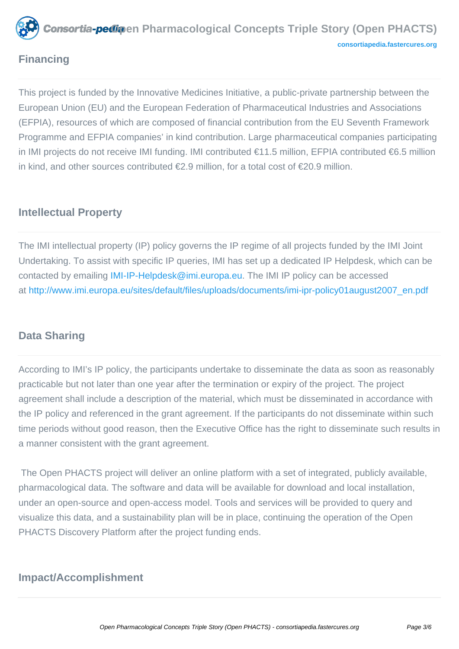

# **Financing**

This project is funded by the Innovative Medicines Initiative, a public-private partnership between the European Union (EU) and the European Federation of Pharmaceutical Industries and Associations (EFPIA), resources of which are composed of financial contribution from the EU Seventh Framework Programme and EFPIA companies' in kind contribution. Large pharmaceutical companies participating in IMI projects do not receive IMI funding. IMI contributed €11.5 million, EFPIA contributed €6.5 million in kind, and other sources contributed €2.9 million, for a total cost of €20.9 million.

# **Intellectual Property**

The IMI intellectual property (IP) policy governs the IP regime of all projects funded by the IMI Joint Undertaking. To assist with specific IP queries, IMI has set up a dedicated IP Helpdesk, which can be contacted by emailin[g IMI-IP-Helpdesk@imi.europa.eu](mailto:IMI-IP-Helpdesk@imi.europa.eu). The IMI IP policy can be accessed a[t](#page-0-0) [http://www.imi.europa.eu/sites/default/files/uploads/documents/imi-ipr-policy01august2007\\_en.pdf](http://www.imi.europa.eu/sites/default/files/uploads/documents/imi-ipr-policy01august2007_en.pdf)

# **Data Sharing**

According to IMI's IP policy, the participants undertake to disseminate the data as soon as reasonably practicable but not later than one year after the termination or expiry of the project. The project agreement shall include a description of the material, which must be disseminated in accordance with the IP policy and referenced in the grant agreement. If the participants do not disseminate within such time periods without good reason, then the Executive Office has the right to disseminate such results in a manner consistent with the grant agreement.

 The Open PHACTS project will deliver an online platform with a set of integrated, publicly available, pharmacological data. The software and data will be available for download and local installation, under an open-source and open-access model. Tools and services will be provided to query and visualize this data, and a sustainability plan will be in place, continuing the operation of the Open PHACTS Discovery Platform after the project funding ends.

# **Impact/Accomplishment**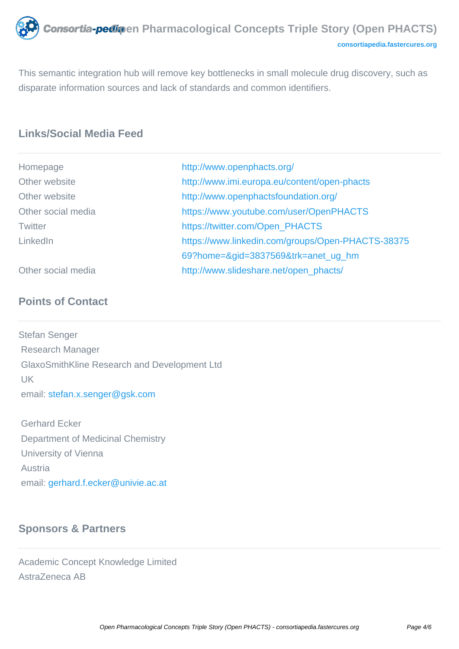

This semantic integration hub will remove key bottlenecks in small molecule drug discovery, such as disparate information sources and lack of standards and common identifiers.

# **Links/Social Media Feed**

| Homepage           | http://www.openphacts.org/                        |
|--------------------|---------------------------------------------------|
| Other website      | http://www.imi.europa.eu/content/open-phacts      |
| Other website      | http://www.openphactsfoundation.org/              |
| Other social media | https://www.youtube.com/user/OpenPHACTS           |
| <b>Twitter</b>     | https://twitter.com/Open_PHACTS                   |
| LinkedIn           | https://www.linkedin.com/groups/Open-PHACTS-38375 |
|                    | 69?home=&gid=3837569&trk=anet_ug_hm               |
| Other social media | http://www.slideshare.net/open_phacts/            |

## **Points of Contact**

Stefan Senger Research Manager GlaxoSmithKline Research and Development Ltd UK email: [stefan.x.senger@gsk.com](mailto:stefan.x.senger@gsk.com)

 Gerhard Ecker Department of Medicinal Chemistry University of Vienna Austria email: [gerhard.f.ecker@univie.ac.at](mailto:gerhard.f.ecker@univie.ac.at)

### **Sponsors & Partners**

Academic Concept Knowledge Limited AstraZeneca AB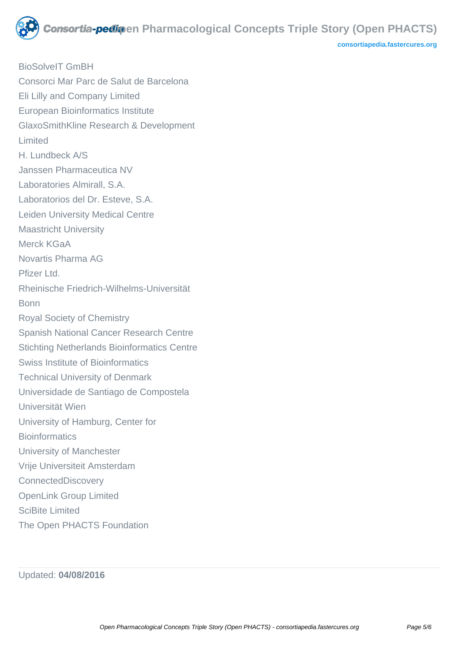

BioSolveIT GmBH Consorci Mar Parc de Salut de Barcelona Eli Lilly and Company Limited European Bioinformatics Institute GlaxoSmithKline Research & Development Limited H. Lundbeck A/S Janssen Pharmaceutica NV Laboratories Almirall, S.A. Laboratorios del Dr. Esteve, S.A. Leiden University Medical Centre Maastricht University Merck KGaA Novartis Pharma AG Pfizer Ltd. Rheinische Friedrich-Wilhelms-Universität Bonn Royal Society of Chemistry Spanish National Cancer Research Centre Stichting Netherlands Bioinformatics Centre Swiss Institute of Bioinformatics Technical University of Denmark Universidade de Santiago de Compostela Universität Wien University of Hamburg, Center for **Bioinformatics** University of Manchester Vrije Universiteit Amsterdam **ConnectedDiscovery** OpenLink Group Limited SciBite Limited The Open PHACTS Foundation

Updated: **04/08/2016**